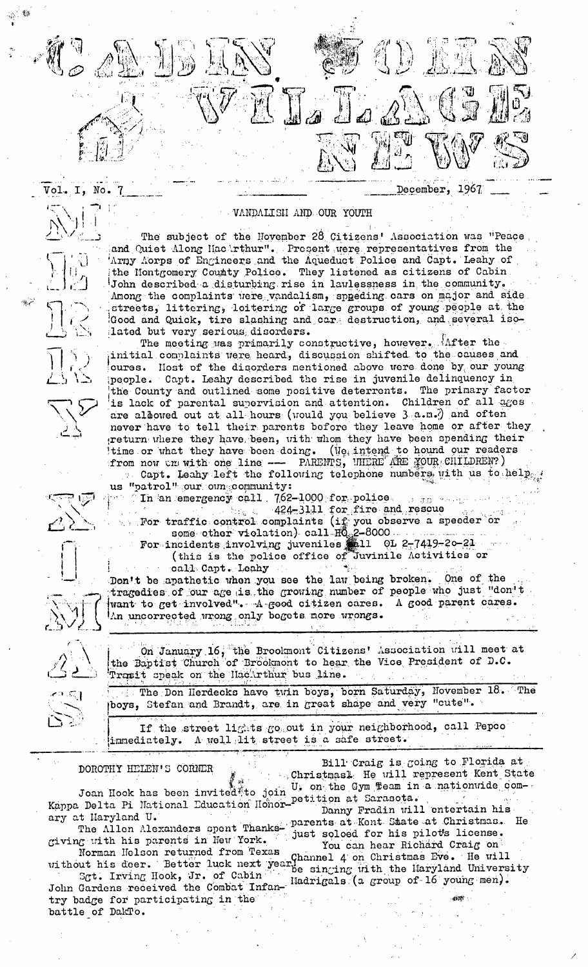

December, 1967

The subject of the November 28 Citizens' Association was "Peace and Quiet Along Hachrthur". Present were representatives from the Army Aorps of Engineers and the Aqueduct Police and Capt. Leahy of the Hontgomery County Police. They listened as citizens of Cabin. John described a disturbing rise in lawlessness in the community. Among the complaints were vandalism, speeding cars on major and side streets, littering, loitering of large groups of young people at the Good and Quick, tire slashing and care destruction, and several isolated but very serious disorders.

The meeting was primarily constructive, however. After the initial complaints were heard, discussion shifted to the causes and cures. Host of the disorders mentioned above were done by our young people. Capt. Leahy described the rise in juvenile delinquency in the County and outlined some positive deterrents. The primary factor is lack of parental supervision and attention. Children of all ages are albowed out at all hours (would you believe 3 a.m.) and often never have to tell their parents before they leave home or after they return where they have been, with whom they have been spending their time or what they have been doing. (We intend to hound our readers from now on with one line -- PAREMPS, WHERE YOUR CHILDREN?)

Capt. Leahy left the following telephone numbers with us to help us "patrol" our own community:

In an emergency call 762-1000 for police.  $\hat{J}$  and

424-3111 for fire and rescue<br>For traffic control complaints (if you observe a speeder or<br>some other violation) call  $H_{Q_2}^0$ 2-8000

For incidents involving juveniles 11 01 2-7419-20-21 (this is the police office of Juvinile Activities or

call Capt. Leahy

Don't be apathetic when you see the law being broken. One of the tragedies of our age is the growing number of people who just "don't want to get involved". A good citizen cares. A good parent cares. An uncorrected wrong only begets more wrongs.

On January 16, the Brookmont Citizens' Association will meet at the Baptist Church of Brookmont to hear the Vice President of D.C. Trasit speak on the HacArthur bus line.

The Don Herdecks have twin boys, born Saturday, November 18. The boys, Stefan and Brandt, are in great shape and very "cute".

If the street lights go out in your neighborhood, call Pepco A well lit street is a safe street. immediately.

DOROTHY HELEN'S CORNER

I. No.

Bill Craig is coing to Florida at Christmasl He will represent Kent State Joan Hook has been invited to join U, on the Gym Team in a nationwide com-

Kappa Delta Pi National Education Honor-petition at Sarasota. Danny Fradin will entertain his The Allen Alexanders spent Thanks- parents at Kent State at Christmas. He ary at Haryland U.

giving with his parents in New York.

without his deer. Better luck next year Channel 4 on Christmas Eve. He will<br>Sgt. Irving Hook, Jr. of Cabin<br>John Gardens received the Combat Infan-Hadrigals (a group of 16 young men).<br>Try bedge for restingation of the Hadri

try badge for participating in the battle of DakTo.

just soloed for his pilots license. You can hear Richard Craig on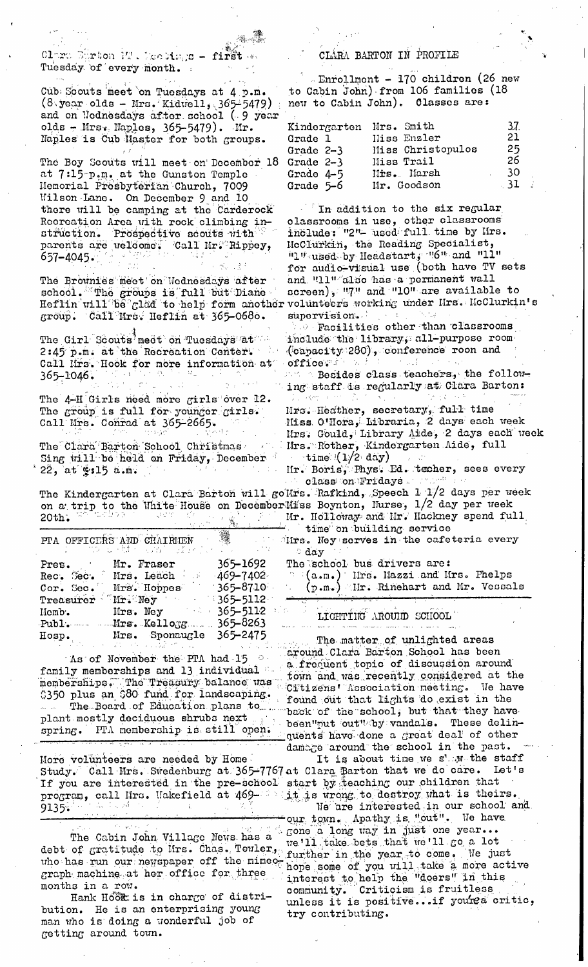

Claro Emrton 12. Meetings - first w Tuesday of every month.

Cub Scouts meet on Tuesdays at 4 p.m.  $(8 \text{ year}$  olds - Mrs. Kidwell, 365-5479) and on Nednesdays after school (9 year olds - Mrs. Maples, 365-5479). Mr. Naples is Cub Master for both groups.

The Boy Scouts will meet on December 18 at 7:15 p.m. at the Gunston Temple Memorial Prosbyterian Church, 7009 Wilson Lane. On December 9 and 10 there will be camping at the Carderock Recreation Area with rock climbing instruction. Prospective scouts with parents are welcome: Call Mr. Rippey,  $657 - 4045$ 

The Brownies meet on Nednesdays after school. The groups is full but Dianegroup. Call Mrs. Heflin at 365-0680.

The Girl Scouts meet on Tuesdays at 2:45 p.m. at the Recreation Center. Call Mrs. Hook for more information at  $365 - 1046$ .

The 4-H Girls need more girls over 12. The group is full for younger girls. Call Mrs. Conrad at 365-2665.

The Clara Barton School Christmas Sing will be held on Friday, December  $22$ , at  $215$  a.m.

The Kindergarten at Clara Barton will goWrs. Rafkind, Speech 1 1/2 days per week on a trip to the White House on December Miss Boynton, Nurse,  $1/2$  day per week<br>20th. The Miss of Mr. Holloway and Mr. Hackney spend full

钄 PTA OFFICERS AND CHAIRIEN ารสีใจ (การล้วย) Mr. Fraser 365–1692 Pres. Rec. Sec. Mrs. Leach  $-469 - 7402$  $365 - 8710$ Treasurer Mr. Ney 365-5112<br>365-5112 Mrs. Ney  $Homb$ . Mrs. Kellogg  $365 - 8263$ Publ. Mrs. Sponaugle 365-2475 Hosp.

3350 plus an \$80 fund for landscaping. Cruisens nosources more and the

More volunteers are needed by Home If you are interested in the pre-school start by teaching our children that program, call Mrs. Wakefield at 469-40 it is wrong to destroy what is theirs.  $(1, -1)$  ,  $(1, 3)$ 9135.

debt of gratitude to lirs. Chas. Towler, further in the year to come. We just who has run our newspaper off the mimeographe of you will take a more active graph machine at her office for three months in a row.

Hank Hook is in charge of distribution. He is an enterprising young man who is doing a wonderful job of getting around town.

## CLARA BARTON IN PROFILE

- Enrollmont - 170 children (26 new to Cabin John) from 106 families (18 new to Cabin John). Classes are:

| Kindergarten Mrs. Smith |                   | -37. |
|-------------------------|-------------------|------|
| Grade 1                 | Hiss Enzler       | 21   |
| Grade 2-3               | Hiss Christopulos | 25   |
| Grade $2-3$             | Miss Trail        | 26   |
| Grade 4-5               | Mis. Marsh        | -30  |
| Grade 5-6               | Mr. Goodson       | . 31 |

 $\blacksquare$  In addition to the six regular classrooms in use, other classrooms include: "2"- used full time by Hrs. McClurkin, the Reading Specialist, "1" used by Headstart, "G" and "11" for audio-visual use (both have TV sets and "11" also has a permanent wall screen), "7" and "10" are available to Heflin will be glad to help form another volunteers working under Hrs. HcClurkin's supervision.  $\sim$   $\sim$   $\rm{R}$ 

Pacilities other than classrooms include the library, all-purpose room (capacity 280), conference roon and office.

 $\sim$  Besides class teachers, the following staff is regularly at Clara Barton:

Mrs. Heather, secretary, full time Miss O'Hora, Libraria, 2 days each week Mrs. Gould, Library Aide, 2 days each week Mrs. Rother, Kindergarten Aide, full<br>time (1/2 day)

Mr. Boris, Phys. Ed. tæcher, sees every class on Fridays.

time on building service lirs. Ney serves in the cafeteria every day

The school bus drivers are:

**Communication** 

 $\in$  (a.m.) Hrs. Mazzi and Mrs. Phelps (p.m.) IIr. Rinehart and Mr. Vessals

## LIGHTING AROUND SCHOOL and several completions of the service of the service of the service and

The matter of unlighted areas Caround Clara Barton School has been family memberships and 13 individual a frequent topic of discussion around numity memocranips and it individual town and was recently considered at the<br>memberships. The Treasury balance was clitizens' Association meeting. We have The Board of Education plans to home back of the school, but that they have plant mostly deciduous shrubs next been plant of the school, but that they have<br>spring. PTA membership is still open. been put out of an a small as there at quents have done a great deal of other damage around the school in the past.

It is about time we s' w the staff Study. Call Mrs. Swedenburg at 365-7767 at Clara Parton that we do care. Let's We are interested in our school and

our town. Apathy is "out". We have The Cabin John Village News has a gone a long way in just one year...<br>of gratitude to Hrs. Chas. Towler. We'll take bets that we'll go a lot interest to help the "doers" in this Criticism is fruitless community. unless it is positive...if you're critic, try contributing.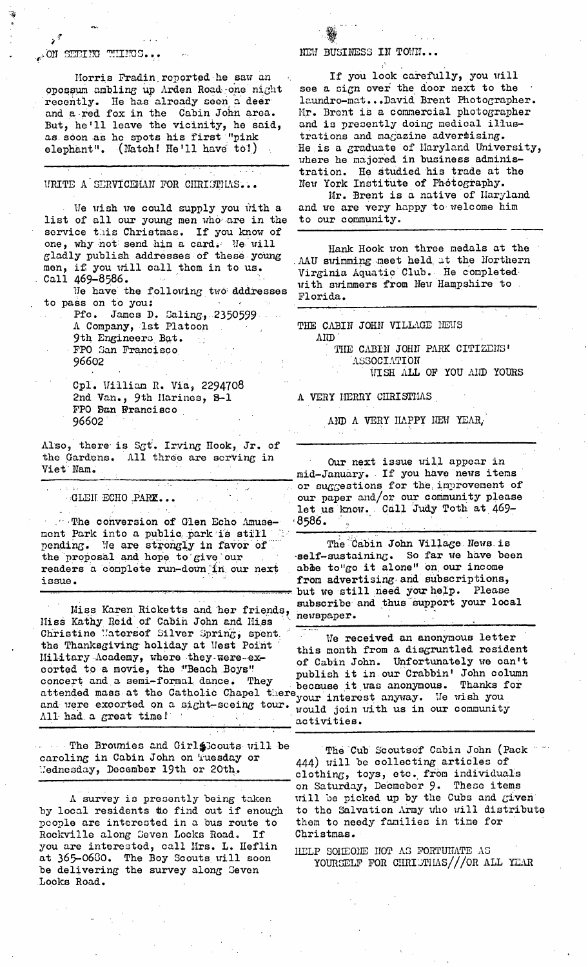## ... ON SEEIRO THIRCS...

Horris Fradin reported he saw an opossum ambling up Arden Road one night recently. He has already seen a deer and a red fox in the Cabin John area. But, he'll leave the vicinity, he said, as soon as he spots his first "pink elephant". (Natch! He'll have to!)

URITE A SERVICEMAN FOR CHRISTHAS...

We wish we could supply you with a list of all our young men who are in the to our community. service this Christmas. If you know of one, why not send him a card. He will one, why not send him a card. He will hank Hook won three medals at the gladly publish addresses of these young all grimming meet held it the Morthomn men, if you will call them in to us.

We have the following two dddresses Florida. to pass on to you:

Pfc. James D. Saling, 2350599 A Company, let Platoon 9th Engineers Bat. FPO San Francisco 96602

Cpl. Uilliam R• Via, 2294708 2nd Van., 9th Marines, B-i FPO San Francisco 96602

Also, there is Sgt. Irving Hook, Jr. of the Gardens. All three are serving in Viet Nam.

 ${}_{\beta}$ GLEH ECHO  ${}_{\gamma}$ PARK...

~•.The conversion of Glen Echo Amuse- ment Park into a public park is still pending. Ne are strongly in favor of the proposal and hope to give our readers a complete run-down in our next issue.

Miss Karen Ricketts and her friends, www. Iliss Kathy Reid of Cabin John and Hiss Christine Uatersof Silver Spring, spent: We received an anonymous letter<br>the Thanksgiving holiday at Mest Point this month from a discruptied resider the Thanksgiving holiday at Uest Point this month from a disgruntled resident<br>Military Academy, where they were ex-<br> $\alpha$  Cobin John Unfortunately we can't I.lilitary-Academy, where they-were-ex- of Cabin John. Unfortunately we can't<br>corted to a movie, the "Beach Boys" annualish it in our Crabbin' John column corted to a movie, the :"Beach Boys!" publish it in our Crabbin' John column concert and a semi-formal dance. They because it was aponymous Thanks for concert and a semi-formal dance. They  $\frac{1}{2}$  because it was anonymous. Thanks for attended mass at the Catholic Chapel there your interest anyway. We wish and were excorted on a sight-sceing tour.  $_{\text{would}}$  join with us in our

The Brounies and Girl Scouts will be caroling in Cabin John on Tuesday or Uednesd~y, December 19th or 20th.

A survey is presently being taken by local residents to find out if enough people are interested in a bus route to Rockville along Seven Locks Road. If you are interested, call Mrs. L. Heflin at 365-0680. The Boy Scouts will soon be delivering the survey along Seven Locks Road.

NEW BUSINESS IN TOWN...

If you look carefully, you will see a sign over the door next to the laundro-mat.. •David Brent Photographer. Mr. Brent is a commercial photographer and is presently doing medical illustrations and magazine advertising. He is a graduate of Maryland University, where he majored in business administration. He Studied his trade at the New York Institute of Photography. Mr. Brent is a native of Maryland and we are very happy to welcome him

AAU swimming meet held at the Northern men, it you will call them in to us. Wirginia Aquatic Club. He completed call 469-8586. with swimmers from New Hampshire to

> THE CABIN JOHN VILLAGE HEMS  $A$ <sub>IJD</sub>

> > THE CABIN JOHN PARK CITIZENS' **ASSOCIATION** WISH ALL OF YOU AND YOURS

**A VERY HERRY CHRISTHAS** 

AND A VERY ILAPPY ITEM YEAR,

Our next issue will appear in mid-January. If you have news items or suggestions for the; improvement of our paper and/or our community please let us know. Call 'Judy Toth at 469- **"8586.** :! ....

The Cabin John Village News is -self-sustaining. So far we have been able to"go it alone" on our income from advertising, and subscriptions, but we still need you help. Please subscribe and thus support your local

you and were excorted on a sight-sceing tour. would join with us in our community all had a great time!

> The Cub Scouts of Cabin John (Pack 444) will be collecting articles of clothing, toys, etc. from individuals on Saturday, Decmeber 9. These items will be picked up by the Cubs and given to the Salvation Army who will distribute them to needy families in time for Christmas •

HELP SOIIEOIE NOT AS FORTUIMTE AS YOUR SELF FOR CHRIETIAS///OR ALL YEAR